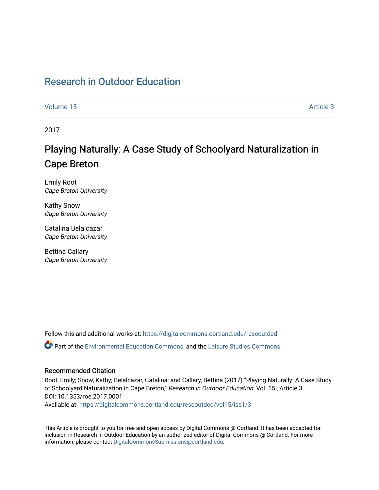## [Research in Outdoor Education](https://digitalcommons.cortland.edu/reseoutded)

[Volume 15](https://digitalcommons.cortland.edu/reseoutded/vol15) Article 3

2017

# Playing Naturally: A Case Study of Schoolyard Naturalization in Cape Breton

Emily Root Cape Breton University

Kathy Snow Cape Breton University

Catalina Belalcazar Cape Breton University

Bettina Callary Cape Breton University

Follow this and additional works at: [https://digitalcommons.cortland.edu/reseoutded](https://digitalcommons.cortland.edu/reseoutded?utm_source=digitalcommons.cortland.edu%2Freseoutded%2Fvol15%2Fiss1%2F3&utm_medium=PDF&utm_campaign=PDFCoverPages) Part of the [Environmental Education Commons](http://network.bepress.com/hgg/discipline/1305?utm_source=digitalcommons.cortland.edu%2Freseoutded%2Fvol15%2Fiss1%2F3&utm_medium=PDF&utm_campaign=PDFCoverPages), and the [Leisure Studies Commons](http://network.bepress.com/hgg/discipline/1197?utm_source=digitalcommons.cortland.edu%2Freseoutded%2Fvol15%2Fiss1%2F3&utm_medium=PDF&utm_campaign=PDFCoverPages) 

#### Recommended Citation

Root, Emily; Snow, Kathy; Belalcazar, Catalina; and Callary, Bettina (2017) "Playing Naturally: A Case Study of Schoolyard Naturalization in Cape Breton," Research in Outdoor Education: Vol. 15 , Article 3. DOI: 10.1353/roe.2017.0001

Available at: [https://digitalcommons.cortland.edu/reseoutded/vol15/iss1/3](https://digitalcommons.cortland.edu/reseoutded/vol15/iss1/3?utm_source=digitalcommons.cortland.edu%2Freseoutded%2Fvol15%2Fiss1%2F3&utm_medium=PDF&utm_campaign=PDFCoverPages) 

This Article is brought to you for free and open access by Digital Commons @ Cortland. It has been accepted for inclusion in Research in Outdoor Education by an authorized editor of Digital Commons @ Cortland. For more information, please contact [DigitalCommonsSubmissions@cortland.edu](mailto:DigitalCommonsSubmissions@cortland.edu).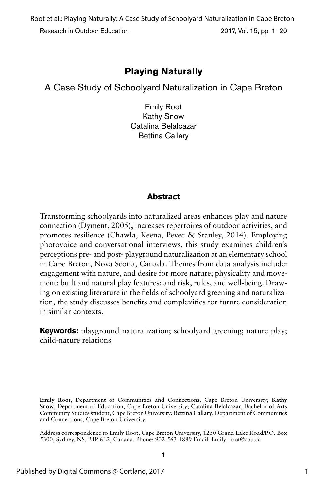Research in Outdoor Education 2017, Vol. 15, pp. 1–20 Root et al.: Playing Naturally: A Case Study of Schoolyard Naturalization in Cape Breton

## **Playing Naturally**

A Case Study of Schoolyard Naturalization in Cape Breton

Emily Root Kathy Snow Catalina Belalcazar Bettina Callary

#### **Abstract**

Transforming schoolyards into naturalized areas enhances play and nature connection (Dyment, 2005), increases repertoires of outdoor activities, and promotes resilience (Chawla, Keena, Pevec & Stanley, 2014). Employing photovoice and conversational interviews, this study examines children's perceptions pre- and post- playground naturalization at an elementary school in Cape Breton, Nova Scotia, Canada. Themes from data analysis include: engagement with nature, and desire for more nature; physicality and movement; built and natural play features; and risk, rules, and well-being. Drawing on existing literature in the fields of schoolyard greening and naturalization, the study discusses benefits and complexities for future consideration in similar contexts.

**Keywords:** playground naturalization; schoolyard greening; nature play; child-nature relations

**Emily Root**, Department of Communities and Connections, Cape Breton University; **Kathy Snow**, Department of Education, Cape Breton University; **Catalina Belalcazar**, Bachelor of Arts Community Studies student, Cape Breton University; **Bettina Callary**, Department of Communities and Connections, Cape Breton University.

Address correspondence to Emily Root, Cape Breton University, 1250 Grand Lake Road/P.O. Box 5300, Sydney, NS, B1P 6L2, Canada. Phone: 902-563-1889 Email: Emily\_root@cbu.ca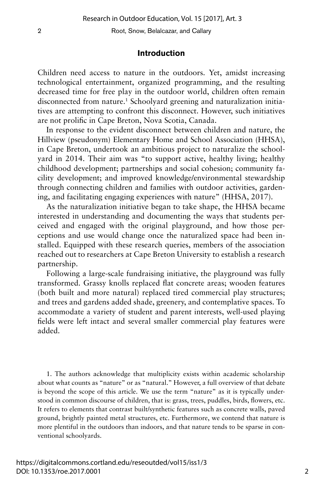#### **Introduction**

Children need access to nature in the outdoors. Yet, amidst increasing technological entertainment, organized programming, and the resulting decreased time for free play in the outdoor world, children often remain disconnected from nature.<sup>1</sup> Schoolyard greening and naturalization initiatives are attempting to confront this disconnect. However, such initiatives are not prolific in Cape Breton, Nova Scotia, Canada.

In response to the evident disconnect between children and nature, the Hillview (pseudonym) Elementary Home and School Association (HHSA), in Cape Breton, undertook an ambitious project to naturalize the schoolyard in 2014. Their aim was "to support active, healthy living; healthy childhood development; partnerships and social cohesion; community facility development; and improved knowledge/environmental stewardship through connecting children and families with outdoor activities, gardening, and facilitating engaging experiences with nature" (HHSA, 2017).

As the naturalization initiative began to take shape, the HHSA became interested in understanding and documenting the ways that students perceived and engaged with the original playground, and how those perceptions and use would change once the naturalized space had been installed. Equipped with these research queries, members of the association reached out to researchers at Cape Breton University to establish a research partnership.

Following a large-scale fundraising initiative, the playground was fully transformed. Grassy knolls replaced flat concrete areas; wooden features (both built and more natural) replaced tired commercial play structures; and trees and gardens added shade, greenery, and contemplative spaces. To accommodate a variety of student and parent interests, well-used playing fields were left intact and several smaller commercial play features were added.

1. The authors acknowledge that multiplicity exists within academic scholarship about what counts as "nature" or as "natural." However, a full overview of that debate is beyond the scope of this article. We use the term "nature" as it is typically understood in common discourse of children, that is: grass, trees, puddles, birds, flowers, etc. It refers to elements that contrast built/synthetic features such as concrete walls, paved ground, brightly painted metal structures, etc. Furthermore, we contend that nature is more plentiful in the outdoors than indoors, and that nature tends to be sparse in conventional schoolyards.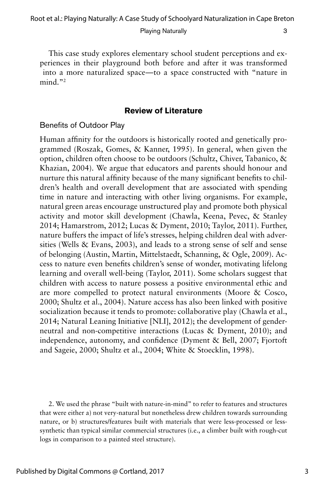This case study explores elementary school student perceptions and experiences in their playground both before and after it was transformed into a more naturalized space—to a space constructed with "nature in mind."2

#### **Review of Literature**

#### Benefits of Outdoor Play

Human affinity for the outdoors is historically rooted and genetically programmed (Roszak, Gomes, & Kanner, 1995). In general, when given the option, children often choose to be outdoors (Schultz, Chiver, Tabanico, & Khazian, 2004). We argue that educators and parents should honour and nurture this natural affinity because of the many significant benefits to children's health and overall development that are associated with spending time in nature and interacting with other living organisms. For example, natural green areas encourage unstructured play and promote both physical activity and motor skill development (Chawla, Keena, Pevec, & Stanley 2014; Hamarstrom, 2012; Lucas & Dyment, 2010; Taylor, 2011). Further, nature buffers the impact of life's stresses, helping children deal with adversities (Wells & Evans, 2003), and leads to a strong sense of self and sense of belonging (Austin, Martin, Mittelstaedt, Schanning, & Ogle, 2009). Access to nature even benefits children's sense of wonder, motivating lifelong learning and overall well-being (Taylor, 2011). Some scholars suggest that children with access to nature possess a positive environmental ethic and are more compelled to protect natural environments (Moore & Cosco, 2000; Shultz et al., 2004). Nature access has also been linked with positive socialization because it tends to promote: collaborative play (Chawla et al., 2014; Natural Leaning Initiative [NLI], 2012); the development of genderneutral and non-competitive interactions (Lucas & Dyment, 2010); and independence, autonomy, and confidence (Dyment & Bell, 2007; Fjortoft and Sageie, 2000; Shultz et al., 2004; White & Stoecklin, 1998).

2. We used the phrase "built with nature-in-mind" to refer to features and structures that were either a) not very-natural but nonetheless drew children towards surrounding nature, or b) structures/features built with materials that were less-processed or lesssynthetic than typical similar commercial structures (i.e., a climber built with rough-cut logs in comparison to a painted steel structure).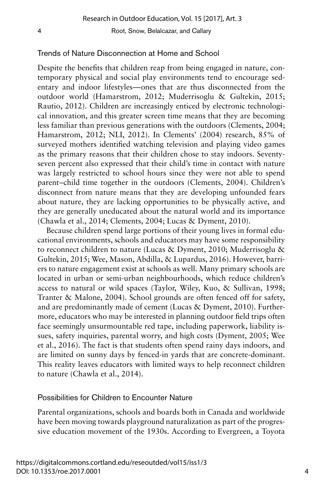#### Trends of Nature Disconnection at Home and School

Despite the benefits that children reap from being engaged in nature, contemporary physical and social play environments tend to encourage sedentary and indoor lifestyles—ones that are thus disconnected from the outdoor world (Hamarstrom, 2012; Muderrisoglu & Gultekin, 2015; Rautio, 2012). Children are increasingly enticed by electronic technological innovation, and this greater screen time means that they are becoming less familiar than previous generations with the outdoors (Clements, 2004; Hamarstrom, 2012; NLI, 2012). In Clements' (2004) research, 85% of surveyed mothers identified watching television and playing video games as the primary reasons that their children chose to stay indoors. Seventyseven percent also expressed that their child's time in contact with nature was largely restricted to school hours since they were not able to spend parent–child time together in the outdoors (Clements, 2004). Children's disconnect from nature means that they are developing unfounded fears about nature, they are lacking opportunities to be physically active, and they are generally uneducated about the natural world and its importance (Chawla et al., 2014; Clements, 2004; Lucas & Dyment, 2010).

Because children spend large portions of their young lives in formal educational environments, schools and educators may have some responsibility to reconnect children to nature (Lucas & Dyment, 2010; Muderrisoglu & Gultekin, 2015; Wee, Mason, Abdilla, & Lupardus, 2016). However, barriers to nature engagement exist at schools as well. Many primary schools are located in urban or semi-urban neighbourhoods, which reduce children's access to natural or wild spaces (Taylor, Wiley, Kuo, & Sullivan, 1998; Tranter & Malone, 2004). School grounds are often fenced off for safety, and are predominantly made of cement (Lucas & Dyment, 2010). Furthermore, educators who may be interested in planning outdoor field trips often face seemingly unsurmountable red tape, including paperwork, liability issues, safety inquiries, parental worry, and high costs (Dyment, 2005; Wee et al., 2016). The fact is that students often spend rainy days indoors, and are limited on sunny days by fenced-in yards that are concrete-dominant. This reality leaves educators with limited ways to help reconnect children to nature (Chawla et al., 2014).

#### Possibilities for Children to Encounter Nature

Parental organizations, schools and boards both in Canada and worldwide have been moving towards playground naturalization as part of the progressive education movement of the 1930s. According to Evergreen, a Toyota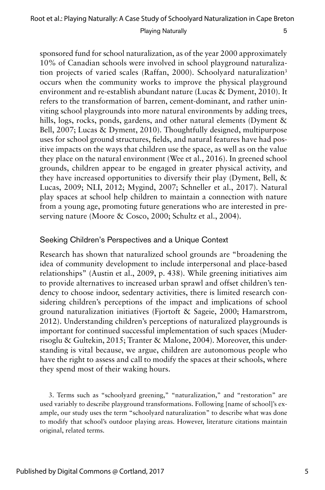sponsored fund for school naturalization, as of the year 2000 approximately 10% of Canadian schools were involved in school playground naturalization projects of varied scales (Raffan, 2000). Schoolyard naturalization3 occurs when the community works to improve the physical playground environment and re-establish abundant nature (Lucas & Dyment, 2010). It refers to the transformation of barren, cement-dominant, and rather uninviting school playgrounds into more natural environments by adding trees, hills, logs, rocks, ponds, gardens, and other natural elements (Dyment & Bell, 2007; Lucas & Dyment, 2010). Thoughtfully designed, multipurpose uses for school ground structures, fields, and natural features have had positive impacts on the ways that children use the space, as well as on the value they place on the natural environment (Wee et al., 2016). In greened school grounds, children appear to be engaged in greater physical activity, and they have increased opportunities to diversify their play (Dyment, Bell, & Lucas, 2009; NLI, 2012; Mygind, 2007; Schneller et al., 2017). Natural play spaces at school help children to maintain a connection with nature from a young age, promoting future generations who are interested in preserving nature (Moore & Cosco, 2000; Schultz et al., 2004).

## Seeking Children's Perspectives and a Unique Context

Research has shown that naturalized school grounds are "broadening the idea of community development to include interpersonal and place-based relationships" (Austin et al., 2009, p. 438). While greening initiatives aim to provide alternatives to increased urban sprawl and offset children's tendency to choose indoor, sedentary activities, there is limited research considering children's perceptions of the impact and implications of school ground naturalization initiatives (Fjortoft & Sageie, 2000; Hamarstrom, 2012). Understanding children's perceptions of naturalized playgrounds is important for continued successful implementation of such spaces (Muderrisoglu & Gultekin, 2015; Tranter & Malone, 2004). Moreover, this understanding is vital because, we argue, children are autonomous people who have the right to assess and call to modify the spaces at their schools, where they spend most of their waking hours.

3. Terms such as "schoolyard greening," "naturalization," and "restoration" are used variably to describe playground transformations. Following [name of school]'s example, our study uses the term "schoolyard naturalization" to describe what was done to modify that school's outdoor playing areas. However, literature citations maintain original, related terms.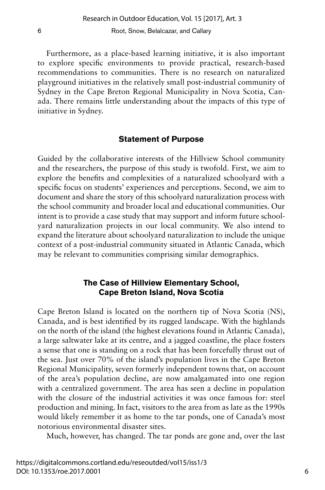Furthermore, as a place-based learning initiative, it is also important to explore specific environments to provide practical, research-based recommendations to communities. There is no research on naturalized playground initiatives in the relatively small post-industrial community of Sydney in the Cape Breton Regional Municipality in Nova Scotia, Canada. There remains little understanding about the impacts of this type of initiative in Sydney.

#### **Statement of Purpose**

Guided by the collaborative interests of the Hillview School community and the researchers, the purpose of this study is twofold. First, we aim to explore the benefits and complexities of a naturalized schoolyard with a specific focus on students' experiences and perceptions. Second, we aim to document and share the story of this schoolyard naturalization process with the school community and broader local and educational communities. Our intent is to provide a case study that may support and inform future schoolyard naturalization projects in our local community. We also intend to expand the literature about schoolyard naturalization to include the unique context of a post-industrial community situated in Atlantic Canada, which may be relevant to communities comprising similar demographics.

#### **The Case of Hillview Elementary School, Cape Breton Island, Nova Scotia**

Cape Breton Island is located on the northern tip of Nova Scotia (NS), Canada, and is best identified by its rugged landscape. With the highlands on the north of the island (the highest elevations found in Atlantic Canada), a large saltwater lake at its centre, and a jagged coastline, the place fosters a sense that one is standing on a rock that has been forcefully thrust out of the sea. Just over 70% of the island's population lives in the Cape Breton Regional Municipality, seven formerly independent towns that, on account of the area's population decline, are now amalgamated into one region with a centralized government. The area has seen a decline in population with the closure of the industrial activities it was once famous for: steel production and mining. In fact, visitors to the area from as late as the 1990s would likely remember it as home to the tar ponds, one of Canada's most notorious environmental disaster sites.

Much, however, has changed. The tar ponds are gone and, over the last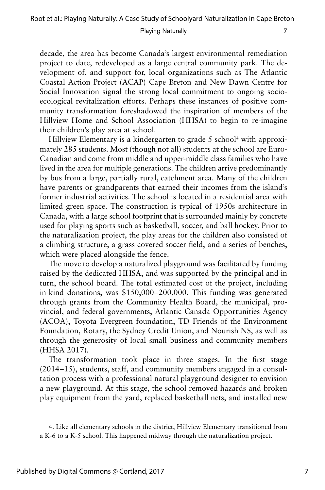decade, the area has become Canada's largest environmental remediation project to date, redeveloped as a large central community park. The development of, and support for, local organizations such as The Atlantic Coastal Action Project (ACAP) Cape Breton and New Dawn Centre for Social Innovation signal the strong local commitment to ongoing socioecological revitalization efforts. Perhaps these instances of positive community transformation foreshadowed the inspiration of members of the Hillview Home and School Association (HHSA) to begin to re-imagine their children's play area at school.

Hillview Elementary is a kindergarten to grade 5 school<sup>4</sup> with approximately 285 students. Most (though not all) students at the school are Euro-Canadian and come from middle and upper-middle class families who have lived in the area for multiple generations. The children arrive predominantly by bus from a large, partially rural, catchment area. Many of the children have parents or grandparents that earned their incomes from the island's former industrial activities. The school is located in a residential area with limited green space. The construction is typical of 1950s architecture in Canada, with a large school footprint that is surrounded mainly by concrete used for playing sports such as basketball, soccer, and ball hockey. Prior to the naturalization project, the play areas for the children also consisted of a climbing structure, a grass covered soccer field, and a series of benches, which were placed alongside the fence.

The move to develop a naturalized playground was facilitated by funding raised by the dedicated HHSA, and was supported by the principal and in turn, the school board. The total estimated cost of the project, including in-kind donations, was \$150,000– 200,000. This funding was generated through grants from the Community Health Board, the municipal, provincial, and federal governments, Atlantic Canada Opportunities Agency (ACOA), Toyota Evergreen foundation, TD Friends of the Environment Foundation, Rotary, the Sydney Credit Union, and Nourish NS, as well as through the generosity of local small business and community members (HHSA 2017).

The transformation took place in three stages. In the first stage  $(2014-15)$ , students, staff, and community members engaged in a consultation process with a professional natural playground designer to envision a new playground. At this stage, the school removed hazards and broken play equipment from the yard, replaced basketball nets, and installed new

<sup>4.</sup> Like all elementary schools in the district, Hillview Elementary transitioned from a K-6 to a K-5 school. This happened midway through the naturalization project.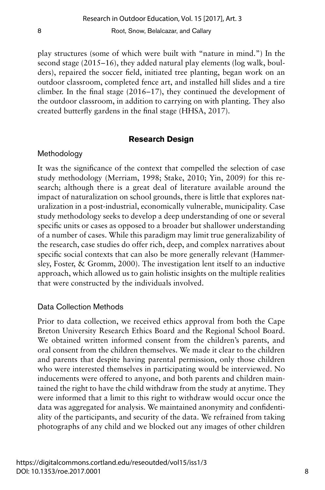play structures (some of which were built with "nature in mind.") In the second stage  $(2015-16)$ , they added natural play elements (log walk, boulders), repaired the soccer field, initiated tree planting, began work on an outdoor classroom, completed fence art, and installed hill slides and a tire climber. In the final stage  $(2016-17)$ , they continued the development of the outdoor classroom, in addition to carrying on with planting. They also created butterfly gardens in the final stage (HHSA, 2017).

## **Research Design**

#### **Methodology**

It was the significance of the context that compelled the selection of case study methodology (Merriam, 1998; Stake, 2010; Yin, 2009) for this research; although there is a great deal of literature available around the impact of naturalization on school grounds, there is little that explores naturalization in a post-industrial, economically vulnerable, municipality. Case study methodology seeks to develop a deep understanding of one or several specific units or cases as opposed to a broader but shallower understanding of a number of cases. While this paradigm may limit true generalizability of the research, case studies do offer rich, deep, and complex narratives about specific social contexts that can also be more generally relevant (Hammersley, Foster, & Gromm, 2000). The investigation lent itself to an inductive approach, which allowed us to gain holistic insights on the multiple realities that were constructed by the individuals involved.

#### Data Collection Methods

Prior to data collection, we received ethics approval from both the Cape Breton University Research Ethics Board and the Regional School Board. We obtained written informed consent from the children's parents, and oral consent from the children themselves. We made it clear to the children and parents that despite having parental permission, only those children who were interested themselves in participating would be interviewed. No inducements were offered to anyone, and both parents and children maintained the right to have the child withdraw from the study at anytime. They were informed that a limit to this right to withdraw would occur once the data was aggregated for analysis. We maintained anonymity and confidentiality of the participants, and security of the data. We refrained from taking photographs of any child and we blocked out any images of other children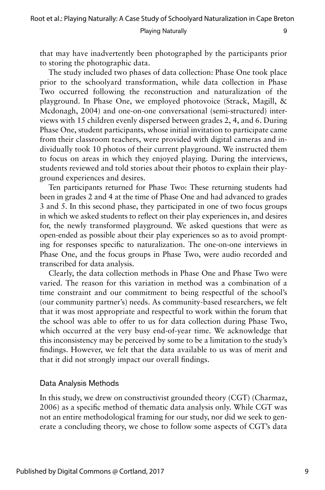Root et al.: Playing Naturally: A Case Study of Schoolyard Naturalization in Cape Breton

Playing Naturally 9

that may have inadvertently been photographed by the participants prior to storing the photographic data.

The study included two phases of data collection: Phase One took place prior to the schoolyard transformation, while data collection in Phase Two occurred following the reconstruction and naturalization of the playground. In Phase One, we employed photovoice (Strack, Magill, & Mcdonagh, 2004) and one-on-one conversational (semi-structured) interviews with 15 children evenly dispersed between grades 2, 4, and 6. During Phase One, student participants, whose initial invitation to participate came from their classroom teachers, were provided with digital cameras and individually took 10 photos of their current playground. We instructed them to focus on areas in which they enjoyed playing. During the interviews, students reviewed and told stories about their photos to explain their playground experiences and desires.

Ten participants returned for Phase Two: These returning students had been in grades 2 and 4 at the time of Phase One and had advanced to grades 3 and 5. In this second phase, they participated in one of two focus groups in which we asked students to reflect on their play experiences in, and desires for, the newly transformed playground. We asked questions that were as open-ended as possible about their play experiences so as to avoid prompting for responses specific to naturalization. The one-on-one interviews in Phase One, and the focus groups in Phase Two, were audio recorded and transcribed for data analysis.

Clearly, the data collection methods in Phase One and Phase Two were varied. The reason for this variation in method was a combination of a time constraint and our commitment to being respectful of the school's (our community partner's) needs. As community-based researchers, we felt that it was most appropriate and respectful to work within the forum that the school was able to offer to us for data collection during Phase Two, which occurred at the very busy end-of-year time. We acknowledge that this inconsistency may be perceived by some to be a limitation to the study's findings. However, we felt that the data available to us was of merit and that it did not strongly impact our overall findings.

#### Data Analysis Methods

In this study, we drew on constructivist grounded theory (CGT) (Charmaz, 2006) as a specific method of thematic data analysis only. While CGT was not an entire methodological framing for our study, nor did we seek to generate a concluding theory, we chose to follow some aspects of CGT's data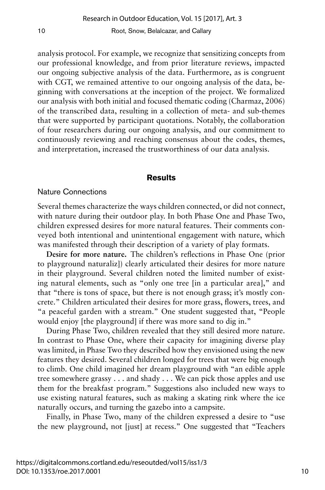analysis protocol. For example, we recognize that sensitizing concepts from our professional knowledge, and from prior literature reviews, impacted our ongoing subjective analysis of the data. Furthermore, as is congruent with CGT, we remained attentive to our ongoing analysis of the data, beginning with conversations at the inception of the project. We formalized our analysis with both initial and focused thematic coding (Charmaz, 2006) of the transcribed data, resulting in a collection of meta- and sub-themes that were supported by participant quotations. Notably, the collaboration of four researchers during our ongoing analysis, and our commitment to continuously reviewing and reaching consensus about the codes, themes, and interpretation, increased the trustworthiness of our data analysis.

#### **Results**

#### Nature Connections

Several themes characterize the ways children connected, or did not connect, with nature during their outdoor play. In both Phase One and Phase Two, children expressed desires for more natural features. Their comments conveyed both intentional and unintentional engagement with nature, which was manifested through their description of a variety of play formats.

**Desire for more nature.** The children's reflections in Phase One (prior to playground naturaliz]) clearly articulated their desires for more nature in their playground. Several children noted the limited number of existing natural elements, such as "only one tree [in a particular area]," and that "there is tons of space, but there is not enough grass; it's mostly concrete." Children articulated their desires for more grass, flowers, trees, and "a peaceful garden with a stream." One student suggested that, "People would enjoy [the playground] if there was more sand to dig in."

During Phase Two, children revealed that they still desired more nature. In contrast to Phase One, where their capacity for imagining diverse play was limited, in Phase Two they described how they envisioned using the new features they desired. Several children longed for trees that were big enough to climb. One child imagined her dream playground with "an edible apple tree somewhere grassy . . . and shady . . . We can pick those apples and use them for the breakfast program." Suggestions also included new ways to use existing natural features, such as making a skating rink where the ice naturally occurs, and turning the gazebo into a campsite.

Finally, in Phase Two, many of the children expressed a desire to "use the new playground, not [just] at recess." One suggested that "Teachers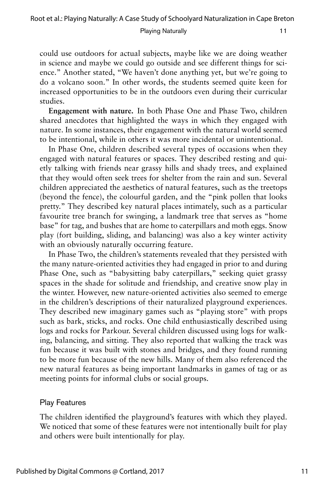could use outdoors for actual subjects, maybe like we are doing weather in science and maybe we could go outside and see different things for science." Another stated, "We haven't done anything yet, but we're going to do a volcano soon." In other words, the students seemed quite keen for increased opportunities to be in the outdoors even during their curricular studies.

**Engagement with nature.** In both Phase One and Phase Two, children shared anecdotes that highlighted the ways in which they engaged with nature. In some instances, their engagement with the natural world seemed to be intentional, while in others it was more incidental or unintentional.

In Phase One, children described several types of occasions when they engaged with natural features or spaces. They described resting and quietly talking with friends near grassy hills and shady trees, and explained that they would often seek trees for shelter from the rain and sun. Several children appreciated the aesthetics of natural features, such as the treetops (beyond the fence), the colourful garden, and the "pink pollen that looks pretty." They described key natural places intimately, such as a particular favourite tree branch for swinging, a landmark tree that serves as "home base" for tag, and bushes that are home to caterpillars and moth eggs. Snow play (fort building, sliding, and balancing) was also a key winter activity with an obviously naturally occurring feature.

In Phase Two, the children's statements revealed that they persisted with the many nature-oriented activities they had engaged in prior to and during Phase One, such as "babysitting baby caterpillars," seeking quiet grassy spaces in the shade for solitude and friendship, and creative snow play in the winter. However, new nature-oriented activities also seemed to emerge in the children's descriptions of their naturalized playground experiences. They described new imaginary games such as "playing store" with props such as bark, sticks, and rocks. One child enthusiastically described using logs and rocks for Parkour. Several children discussed using logs for walking, balancing, and sitting. They also reported that walking the track was fun because it was built with stones and bridges, and they found running to be more fun because of the new hills. Many of them also referenced the new natural features as being important landmarks in games of tag or as meeting points for informal clubs or social groups.

#### Play Features

The children identified the playground's features with which they played. We noticed that some of these features were not intentionally built for play and others were built intentionally for play.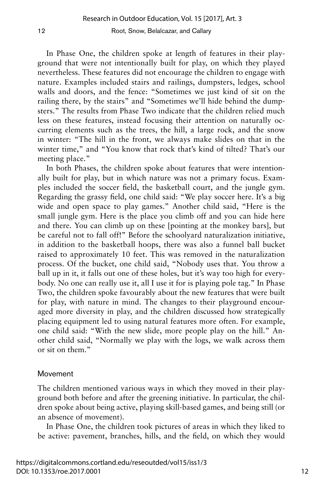In Phase One, the children spoke at length of features in their playground that were not intentionally built for play, on which they played nevertheless. These features did not encourage the children to engage with nature. Examples included stairs and railings, dumpsters, ledges, school walls and doors, and the fence: "Sometimes we just kind of sit on the railing there, by the stairs" and "Sometimes we'll hide behind the dumpsters." The results from Phase Two indicate that the children relied much less on these features, instead focusing their attention on naturally occurring elements such as the trees, the hill, a large rock, and the snow in winter: "The hill in the front, we always make slides on that in the winter time," and "You know that rock that's kind of tilted? That's our meeting place."

In both Phases, the children spoke about features that were intentionally built for play, but in which nature was not a primary focus. Examples included the soccer field, the basketball court, and the jungle gym. Regarding the grassy field, one child said: "We play soccer here. It's a big wide and open space to play games." Another child said, "Here is the small jungle gym. Here is the place you climb off and you can hide here and there. You can climb up on these [pointing at the monkey bars], but be careful not to fall off!" Before the schoolyard naturalization initiative, in addition to the basketball hoops, there was also a funnel ball bucket raised to approximately 10 feet. This was removed in the naturalization process. Of the bucket, one child said, "Nobody uses that. You throw a ball up in it, it falls out one of these holes, but it's way too high for everybody. No one can really use it, all I use it for is playing pole tag." In Phase Two, the children spoke favourably about the new features that were built for play, with nature in mind. The changes to their playground encouraged more diversity in play, and the children discussed how strategically placing equipment led to using natural features more often. For example, one child said: "With the new slide, more people play on the hill." Another child said, "Normally we play with the logs, we walk across them or sit on them."

#### Movement

The children mentioned various ways in which they moved in their playground both before and after the greening initiative. In particular, the children spoke about being active, playing skill-based games, and being still (or an absence of movement).

In Phase One, the children took pictures of areas in which they liked to be active: pavement, branches, hills, and the field, on which they would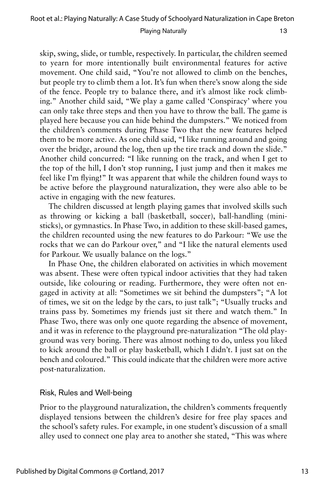skip, swing, slide, or tumble, respectively. In particular, the children seemed to yearn for more intentionally built environmental features for active movement. One child said, "You're not allowed to climb on the benches, but people try to climb them a lot. It's fun when there's snow along the side of the fence. People try to balance there, and it's almost like rock climbing." Another child said, "We play a game called 'Conspiracy' where you can only take three steps and then you have to throw the ball. The game is played here because you can hide behind the dumpsters." We noticed from the children's comments during Phase Two that the new features helped them to be more active. As one child said, "I like running around and going over the bridge, around the log, then up the tire track and down the slide." Another child concurred: "I like running on the track, and when I get to the top of the hill, I don't stop running, I just jump and then it makes me feel like I'm flying!" It was apparent that while the children found ways to be active before the playground naturalization, they were also able to be active in engaging with the new features.

The children discussed at length playing games that involved skills such as throwing or kicking a ball (basketball, soccer), ball-handling (ministicks), or gymnastics. In Phase Two, in addition to these skill-based games, the children recounted using the new features to do Parkour: "We use the rocks that we can do Parkour over," and "I like the natural elements used for Parkour. We usually balance on the logs."

In Phase One, the children elaborated on activities in which movement was absent. These were often typical indoor activities that they had taken outside, like colouring or reading. Furthermore, they were often not engaged in activity at all: "Sometimes we sit behind the dumpsters"; "A lot of times, we sit on the ledge by the cars, to just talk"; "Usually trucks and trains pass by. Sometimes my friends just sit there and watch them." In Phase Two, there was only one quote regarding the absence of movement, and it was in reference to the playground pre-naturalization "The old playground was very boring. There was almost nothing to do, unless you liked to kick around the ball or play basketball, which I didn't. I just sat on the bench and coloured." This could indicate that the children were more active post-naturalization.

#### Risk, Rules and Well-being

Prior to the playground naturalization, the children's comments frequently displayed tensions between the children's desire for free play spaces and the school's safety rules. For example, in one student's discussion of a small alley used to connect one play area to another she stated, "This was where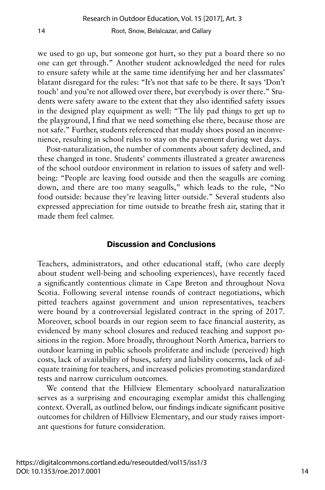we used to go up, but someone got hurt, so they put a board there so no one can get through." Another student acknowledged the need for rules to ensure safety while at the same time identifying her and her classmates' blatant disregard for the rules: "It's not that safe to be there. It says 'Don't touch' and you're not allowed over there, but everybody is over there." Students were safety aware to the extent that they also identified safety issues in the designed play equipment as well: "The lily pad things to get up to the playground, I find that we need something else there, because those are not safe." Further, students referenced that muddy shoes posed an inconvenience, resulting in school rules to stay on the pavement during wet days.

Post-naturalization, the number of comments about safety declined, and these changed in tone. Students' comments illustrated a greater awareness of the school outdoor environment in relation to issues of safety and wellbeing: "People are leaving food outside and then the seagulls are coming down, and there are too many seagulls," which leads to the rule, "No food outside: because they're leaving litter outside." Several students also expressed appreciation for time outside to breathe fresh air, stating that it made them feel calmer.

#### **Discussion and Conclusions**

Teachers, administrators, and other educational staff, (who care deeply about student well-being and schooling experiences), have recently faced a significantly contentious climate in Cape Breton and throughout Nova Scotia. Following several intense rounds of contract negotiations, which pitted teachers against government and union representatives, teachers were bound by a controversial legislated contract in the spring of 2017. Moreover, school boards in our region seem to face financial austerity, as evidenced by many school closures and reduced teaching and support positions in the region. More broadly, throughout North America, barriers to outdoor learning in public schools proliferate and include (perceived) high costs, lack of availability of buses, safety and liability concerns, lack of adequate training for teachers, and increased policies promoting standardized tests and narrow curriculum outcomes.

We contend that the Hillview Elementary schoolyard naturalization serves as a surprising and encouraging exemplar amidst this challenging context. Overall, as outlined below, our findings indicate significant positive outcomes for children of Hillview Elementary, and our study raises important questions for future consideration.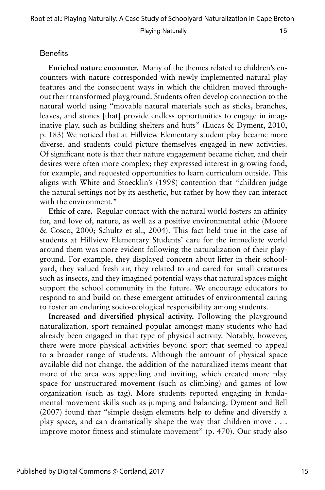#### **Benefits**

**Enriched nature encounter.** Many of the themes related to children's encounters with nature corresponded with newly implemented natural play features and the consequent ways in which the children moved throughout their transformed playground. Students often develop connection to the natural world using "movable natural materials such as sticks, branches, leaves, and stones [that] provide endless opportunities to engage in imaginative play, such as building shelters and huts" (Lucas & Dyment, 2010, p. 183) We noticed that at Hillview Elementary student play became more diverse, and students could picture themselves engaged in new activities. Of significant note is that their nature engagement became richer, and their desires were often more complex; they expressed interest in growing food, for example, and requested opportunities to learn curriculum outside. This aligns with White and Stoecklin's (1998) contention that "children judge the natural settings not by its aesthetic, but rather by how they can interact with the environment."

**Ethic of care.** Regular contact with the natural world fosters an affinity for, and love of, nature, as well as a positive environmental ethic (Moore & Cosco, 2000; Schultz et al., 2004). This fact held true in the case of students at Hillview Elementary Students' care for the immediate world around them was more evident following the naturalization of their playground. For example, they displayed concern about litter in their schoolyard, they valued fresh air, they related to and cared for small creatures such as insects, and they imagined potential ways that natural spaces might support the school community in the future. We encourage educators to respond to and build on these emergent attitudes of environmental caring to foster an enduring socio-ecological responsibility among students.

**Increased and diversified physical activity.** Following the playground naturalization, sport remained popular amongst many students who had already been engaged in that type of physical activity. Notably, however, there were more physical activities beyond sport that seemed to appeal to a broader range of students. Although the amount of physical space available did not change, the addition of the naturalized items meant that more of the area was appealing and inviting, which created more play space for unstructured movement (such as climbing) and games of low organization (such as tag). More students reported engaging in fundamental movement skills such as jumping and balancing. Dyment and Bell (2007) found that "simple design elements help to define and diversify a play space, and can dramatically shape the way that children move . . . improve motor fitness and stimulate movement" (p. 470). Our study also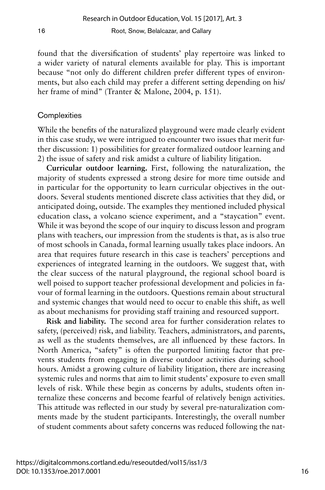found that the diversification of students' play repertoire was linked to a wider variety of natural elements available for play. This is important because "not only do different children prefer different types of environments, but also each child may prefer a different setting depending on his/ her frame of mind" (Tranter & Malone, 2004, p. 151).

#### **Complexities**

While the benefits of the naturalized playground were made clearly evident in this case study, we were intrigued to encounter two issues that merit further discussion: 1) possibilities for greater formalized outdoor learning and 2) the issue of safety and risk amidst a culture of liability litigation.

**Curricular outdoor learning.** First, following the naturalization, the majority of students expressed a strong desire for more time outside and in particular for the opportunity to learn curricular objectives in the outdoors. Several students mentioned discrete class activities that they did, or anticipated doing, outside. The examples they mentioned included physical education class, a volcano science experiment, and a "staycation" event. While it was beyond the scope of our inquiry to discuss lesson and program plans with teachers, our impression from the students is that, as is also true of most schools in Canada, formal learning usually takes place indoors. An area that requires future research in this case is teachers' perceptions and experiences of integrated learning in the outdoors. We suggest that, with the clear success of the natural playground, the regional school board is well poised to support teacher professional development and policies in favour of formal learning in the outdoors. Questions remain about structural and systemic changes that would need to occur to enable this shift, as well as about mechanisms for providing staff training and resourced support.

**Risk and liability.** The second area for further consideration relates to safety, (perceived) risk, and liability. Teachers, administrators, and parents, as well as the students themselves, are all influenced by these factors. In North America, "safety" is often the purported limiting factor that prevents students from engaging in diverse outdoor activities during school hours. Amidst a growing culture of liability litigation, there are increasing systemic rules and norms that aim to limit students' exposure to even small levels of risk. While these begin as concerns by adults, students often internalize these concerns and become fearful of relatively benign activities. This attitude was reflected in our study by several pre-naturalization comments made by the student participants. Interestingly, the overall number of student comments about safety concerns was reduced following the nat-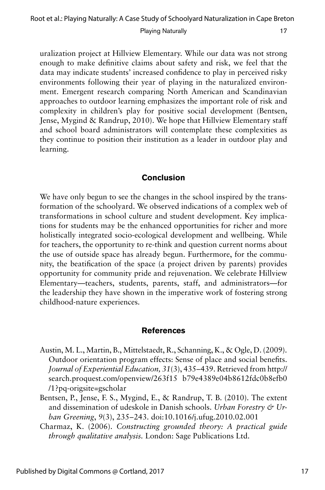uralization project at Hillview Elementary. While our data was not strong enough to make definitive claims about safety and risk, we feel that the data may indicate students' increased confidence to play in perceived risky environments following their year of playing in the naturalized environment. Emergent research comparing North American and Scandinavian approaches to outdoor learning emphasizes the important role of risk and complexity in children's play for positive social development (Bentsen, Jense, Mygind & Randrup, 2010). We hope that Hillview Elementary staff and school board administrators will contemplate these complexities as they continue to position their institution as a leader in outdoor play and learning.

#### **Conclusion**

We have only begun to see the changes in the school inspired by the transformation of the schoolyard. We observed indications of a complex web of transformations in school culture and student development. Key implications for students may be the enhanced opportunities for richer and more holistically integrated socio-ecological development and wellbeing. While for teachers, the opportunity to re-think and question current norms about the use of outside space has already begun. Furthermore, for the community, the beatification of the space (a project driven by parents) provides opportunity for community pride and rejuvenation. We celebrate Hillview Elementary—teachers, students, parents, staff, and administrators—for the leadership they have shown in the imperative work of fostering strong childhood-nature experiences.

#### **References**

- Austin, M. L., Martin, B., Mittelstaedt, R., Schanning, K., & Ogle, D. (2009). Outdoor orientation program effects: Sense of place and social benefits. *Journal of Experiential Education, 31(3), 435-439. Retrieved from http://* search.proquest.com/openview/263f15 b79e4389e04b8612fdc0b8efb0 /1?pq-origsite=gscholar
- Bentsen, P., Jense, F. S., Mygind, E., & Randrup, T. B. (2010). The extent and dissemination of udeskole in Danish schools. *Urban Forestry & Urban Greening*, *9*(3), 235– 243. doi:10.1016/j.ufug.2010.02.001
- Charmaz, K. (2006). *Constructing grounded theory: A practical guide through qualitative analysis.* London: Sage Publications Ltd.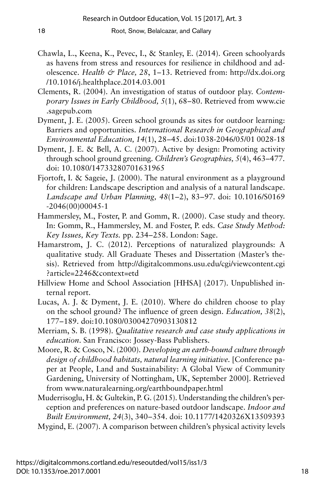- Chawla, L., Keena, K., Pevec, I., & Stanley, E. (2014). Green schoolyards as havens from stress and resources for resilience in childhood and adolescence. *Health & Place, 28*, 1–13. Retrieved from: http://dx.doi.org /10.1016/j.healthplace.2014.03.001
- Clements, R. (2004). An investigation of status of outdoor play. *Contemporary Issues in Early Childhood, 5*(1), 68–80. Retrieved from www.cie .sagepub.com
- Dyment, J. E. (2005). Green school grounds as sites for outdoor learning: Barriers and opportunities. *International Research in Geographical and Environmental Education, 14*(1), 28–45. doi:1038-2046/05/01 0028-18
- Dyment, J. E. & Bell, A. C. (2007). Active by design: Promoting activity through school ground greening. *Children's Geographies, 5*(4), 463–477. doi: 10.1080/14733280701631965
- Fjortoft, I. & Sageie, J. (2000). The natural environment as a playground for children: Landscape description and analysis of a natural landscape. Landscape and Urban Planning, 48(1-2), 83-97. doi: 10.1016/S0169 -2046(00)00045-1
- Hammersley, M., Foster, P. and Gomm, R. (2000). Case study and theory. In: Gomm, R., Hammersley, M. and Foster, P. eds. *Case Study Method: Key Issues, Key Texts.* pp. 234–258. London: Sage.
- Hamarstrom, J. C. (2012). Perceptions of naturalized playgrounds: A qualitative study. All Graduate Theses and Dissertation (Master's thesis). Retrieved from http://digitalcommons.usu.edu/cgi/viewcontent.cgi ?article=2246&context=etd
- Hillview Home and School Association [HHSA] (2017). Unpublished internal report.
- Lucas, A. J. & Dyment, J. E. (2010). Where do children choose to play on the school ground? The influence of green design. *Education, 38*(2), 177–189. doi:10.1080/03004270903130812
- Merriam, S. B. (1998). *Qualitative research and case study applications in education*. San Francisco: Jossey-Bass Publishers.
- Moore, R. & Cosco, N. (2000). *Developing an earth-bound culture through design of childhood habitats, natural learning initiative.* [Conference paper at People, Land and Sustainability: A Global View of Community Gardening, University of Nottingham, UK, September 2000]. Retrieved from www.naturalearning.org/earthboundpaper.html
- Muderrisoglu, H. & Gultekin, P. G. (2015). Understanding the children's perception and preferences on nature-based outdoor landscape. *Indoor and Built Environment, 24*(3), 340–354. doi: 10.1177/1420326X13509393 Mygind, E. (2007). A comparison between children's physical activity levels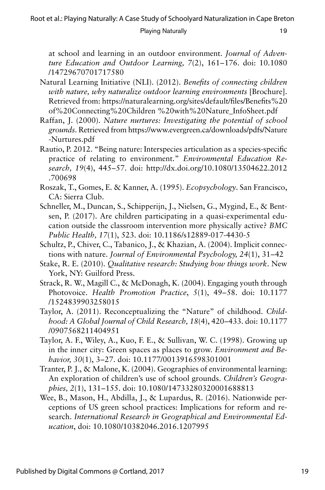at school and learning in an outdoor environment. *Journal of Adventure Education and Outdoor Learning, 7*(2), 161– 176. doi: 10.1080 /14729670701717580

- Natural Learning Initiative (NLI). (2012). *Benefits of connecting children with nature, why naturalize outdoor learning environments* [Brochure]. Retrieved from: https://naturalearning.org/sites/default/files/Benefits%20 of%20Connecting%20Children %20with%20Nature\_InfoSheet.pdf
- Raffan, J. (2000). *Nature nurtures: Investigating the potential of school grounds*. Retrieved from https://www.evergreen.ca/downloads/pdfs/Nature -Nurtures.pdf
- Rautio, P. 2012. "Being nature: Interspecies articulation as a species-specific practice of relating to environment." *Environmental Education Re*search, 19(4), 445–57. doi: http://dx.doi.org/10.1080/13504622.2012 .700698
- Roszak, T., Gomes, E. & Kanner, A. (1995). *Ecopsychology*. San Francisco, CA: Sierra Club.
- Schneller, M., Duncan, S., Schipperijn, J., Nielsen, G., Mygind, E., & Bentsen, P. (2017). Are children participating in a quasi-experimental education outside the classroom intervention more physically active? *BMC Public Health, 17*(1), 523. doi: 10.1186/s12889-017-4430-5
- Schultz, P., Chiver, C., Tabanico, J., & Khazian, A. (2004). Implicit connections with nature. *Journal of Environmental Psychology*, 24(1), 31–42
- Stake, R. E. (2010). *Qualitative research: Studying how things work*. New York, NY: Guilford Press.
- Strack, R. W., Magill C., & McDonagh, K. (2004). Engaging youth through Photovoice. *Health Promotion Practice*, *5*(1), 49-58. doi: 10.1177 /1524839903258015
- Taylor, A. (2011). Reconceptualizing the "Nature" of childhood. *Childhood: A Global Journal of Child Research, 18(4), 420-433. doi: 10.1177* /0907568211404951
- Taylor, A. F., Wiley, A., Kuo, F. E., & Sullivan, W. C. (1998). Growing up in the inner city: Green spaces as places to grow. *Environment and Behavior, 30*(1), 3– 27. doi: 10.1177/0013916598301001
- Tranter, P. J., & Malone, K. (2004). Geographies of environmental learning: An exploration of children's use of school grounds. *Children's Geographies, 2*(1), 131– 155. doi: 10.1080/14733280320001688813
- Wee, B., Mason, H., Abdilla, J., & Lupardus, R. (2016). Nationwide perceptions of US green school practices: Implications for reform and research. *International Research in Geographical and Environmental Education*, doi: 10.1080/10382046.2016.1207995